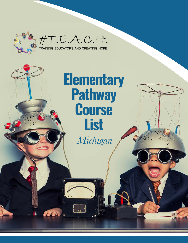

 $#T.E.A.C.H.$ 

TAT

## **Elementary Pathway Course List** *Michigan*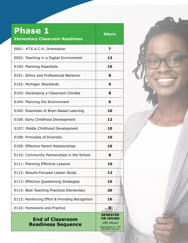| <b>Phase 1</b><br><b>Elementary Classroom Readiness</b> | <b>Hours</b>                                                                              |
|---------------------------------------------------------|-------------------------------------------------------------------------------------------|
| E001: #T.E.A.C.H. Orientation                           | 7                                                                                         |
| E002: Teaching in a Digital Environment                 | 12                                                                                        |
| E100: Planning Essentials                               | 10                                                                                        |
| E101: Ethics and Professional Behavior                  | 8                                                                                         |
| E102: Michigan Standards                                | 6                                                                                         |
| E103: Developing a Classroom Climate                    | 8                                                                                         |
| E104: Planning the Environment                          | 6                                                                                         |
| E105: Essentials of Brain-Based Learning                | 10                                                                                        |
| E106: Early Childhood Development                       | 12                                                                                        |
| S107: Middle Childhood Development                      | 10                                                                                        |
| E108: Principles of Diversity                           | 10                                                                                        |
| E109: Effective Parent Relationships                    | 10                                                                                        |
| E110: Community Partnerships in the School              | 8                                                                                         |
| E111: Planning Effective Lessons                        | 10                                                                                        |
| E112: Results-Focused Lesson Study                      | 12                                                                                        |
| E113: Effective Questioning Strategies                  | 10                                                                                        |
| E114: Best Teaching Practices Elementary                | 20                                                                                        |
| E115: Reinforcing Effort & Providing Recognition        | 10                                                                                        |
| E116: Homework and Practice                             | 6                                                                                         |
| <b>End of Classroom</b><br><b>Readiness Sequence</b>    | <b>SEMESTER</b><br><b>OR HOURS</b><br>185 Hours<br>(Equivalent to 7.40<br>Semester Hours) |